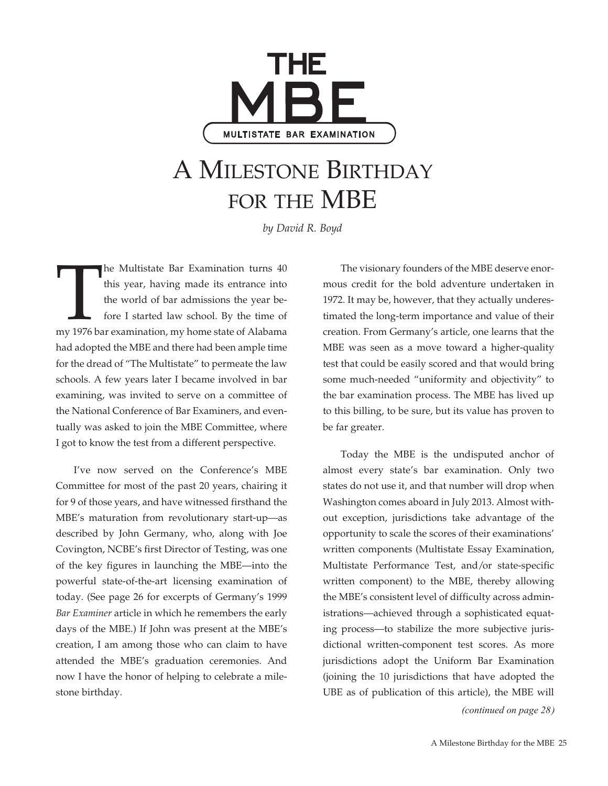

## A Milestone Birthday for the MBE

*by David R. Boyd*

The Multistate Bar Examination turns 40<br>this year, having made its entrance into<br>the world of bar admissions the year be-<br>fore I started law school. By the time of<br>my 1976 bar examination, my home state of Alabama this year, having made its entrance into the world of bar admissions the year before I started law school. By the time of had adopted the MBE and there had been ample time for the dread of "The Multistate" to permeate the law schools. A few years later I became involved in bar examining, was invited to serve on a committee of the National Conference of Bar Examiners, and eventually was asked to join the MBE Committee, where I got to know the test from a different perspective.

I've now served on the Conference's MBE Committee for most of the past 20 years, chairing it for 9 of those years, and have witnessed firsthand the MBE's maturation from revolutionary start-up—as described by John Germany, who, along with Joe Covington, NCBE's first Director of Testing, was one of the key figures in launching the MBE—into the powerful state-of-the-art licensing examination of today. (See page 26 for excerpts of Germany's 1999 *Bar Examiner* article in which he remembers the early days of the MBE.) If John was present at the MBE's creation, I am among those who can claim to have attended the MBE's graduation ceremonies. And now I have the honor of helping to celebrate a milestone birthday.

The visionary founders of the MBE deserve enormous credit for the bold adventure undertaken in 1972. It may be, however, that they actually underestimated the long-term importance and value of their creation. From Germany's article, one learns that the MBE was seen as a move toward a higher-quality test that could be easily scored and that would bring some much-needed "uniformity and objectivity" to the bar examination process. The MBE has lived up to this billing, to be sure, but its value has proven to be far greater.

Today the MBE is the undisputed anchor of almost every state's bar examination. Only two states do not use it, and that number will drop when Washington comes aboard in July 2013. Almost without exception, jurisdictions take advantage of the opportunity to scale the scores of their examinations' written components (Multistate Essay Examination, Multistate Performance Test, and/or state-specific written component) to the MBE, thereby allowing the MBE's consistent level of difficulty across administrations—achieved through a sophisticated equating process—to stabilize the more subjective jurisdictional written-component test scores. As more jurisdictions adopt the Uniform Bar Examination (joining the 10 jurisdictions that have adopted the UBE as of publication of this article), the MBE will

*(continued on page 28)*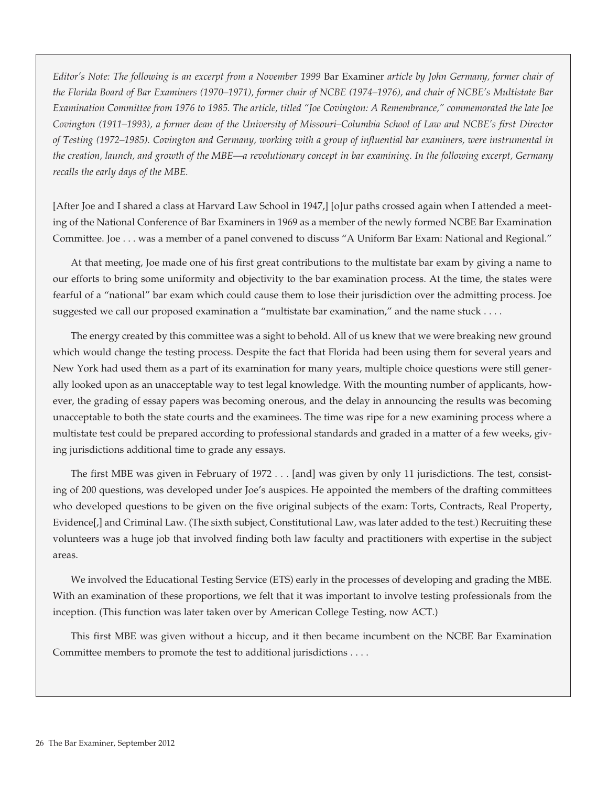*Editor's Note: The following is an excerpt from a November 1999* Bar Examiner *article by John Germany, former chair of the Florida Board of Bar Examiners (1970–1971), former chair of NCBE (1974–1976), and chair of NCBE's Multistate Bar Examination Committee from 1976 to 1985. The article, titled "Joe Covington: A Remembrance," commemorated the late Joe Covington (1911–1993), a former dean of the University of Missouri–Columbia School of Law and NCBE's first Director of Testing (1972–1985). Covington and Germany, working with a group of influential bar examiners, were instrumental in the creation, launch, and growth of the MBE—a revolutionary concept in bar examining. In the following excerpt, Germany recalls the early days of the MBE.*

[After Joe and I shared a class at Harvard Law School in 1947,] [o]ur paths crossed again when I attended a meeting of the National Conference of Bar Examiners in 1969 as a member of the newly formed NCBE Bar Examination Committee. Joe . . . was a member of a panel convened to discuss "A Uniform Bar Exam: National and Regional."

At that meeting, Joe made one of his first great contributions to the multistate bar exam by giving a name to our efforts to bring some uniformity and objectivity to the bar examination process. At the time, the states were fearful of a "national" bar exam which could cause them to lose their jurisdiction over the admitting process. Joe suggested we call our proposed examination a "multistate bar examination," and the name stuck . . . .

The energy created by this committee was a sight to behold. All of us knew that we were breaking new ground which would change the testing process. Despite the fact that Florida had been using them for several years and New York had used them as a part of its examination for many years, multiple choice questions were still generally looked upon as an unacceptable way to test legal knowledge. With the mounting number of applicants, however, the grading of essay papers was becoming onerous, and the delay in announcing the results was becoming unacceptable to both the state courts and the examinees. The time was ripe for a new examining process where a multistate test could be prepared according to professional standards and graded in a matter of a few weeks, giving jurisdictions additional time to grade any essays.

The first MBE was given in February of 1972 . . . [and] was given by only 11 jurisdictions. The test, consisting of 200 questions, was developed under Joe's auspices. He appointed the members of the drafting committees who developed questions to be given on the five original subjects of the exam: Torts, Contracts, Real Property, Evidence[,] and Criminal Law. (The sixth subject, Constitutional Law, was later added to the test.) Recruiting these volunteers was a huge job that involved finding both law faculty and practitioners with expertise in the subject areas.

We involved the Educational Testing Service (ETS) early in the processes of developing and grading the MBE. With an examination of these proportions, we felt that it was important to involve testing professionals from the inception. (This function was later taken over by American College Testing, now ACT.)

This first MBE was given without a hiccup, and it then became incumbent on the NCBE Bar Examination Committee members to promote the test to additional jurisdictions . . . .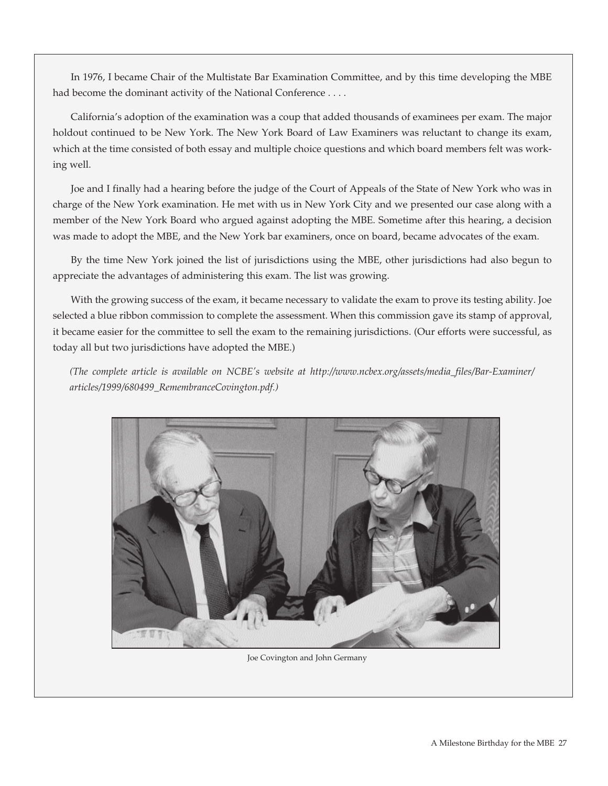In 1976, I became Chair of the Multistate Bar Examination Committee, and by this time developing the MBE had become the dominant activity of the National Conference . . . .

California's adoption of the examination was a coup that added thousands of examinees per exam. The major holdout continued to be New York. The New York Board of Law Examiners was reluctant to change its exam, which at the time consisted of both essay and multiple choice questions and which board members felt was working well.

Joe and I finally had a hearing before the judge of the Court of Appeals of the State of New York who was in charge of the New York examination. He met with us in New York City and we presented our case along with a member of the New York Board who argued against adopting the MBE. Sometime after this hearing, a decision was made to adopt the MBE, and the New York bar examiners, once on board, became advocates of the exam.

By the time New York joined the list of jurisdictions using the MBE, other jurisdictions had also begun to appreciate the advantages of administering this exam. The list was growing.

With the growing success of the exam, it became necessary to validate the exam to prove its testing ability. Joe selected a blue ribbon commission to complete the assessment. When this commission gave its stamp of approval, it became easier for the committee to sell the exam to the remaining jurisdictions. (Our efforts were successful, as today all but two jurisdictions have adopted the MBE.)

*(The complete article is available on NCBE's website at http://www.ncbex.org/assets/media\_files/Bar-Examiner/ articles/1999/680499\_RemembranceCovington.pdf.)*



Joe Covington and John Germany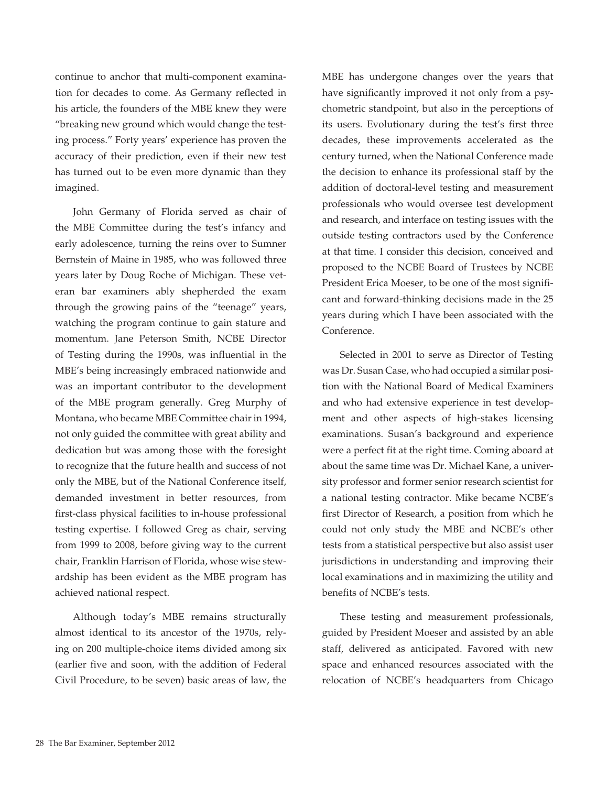continue to anchor that multi-component examination for decades to come. As Germany reflected in his article, the founders of the MBE knew they were "breaking new ground which would change the testing process." Forty years' experience has proven the accuracy of their prediction, even if their new test has turned out to be even more dynamic than they imagined.

John Germany of Florida served as chair of the MBE Committee during the test's infancy and early adolescence, turning the reins over to Sumner Bernstein of Maine in 1985, who was followed three years later by Doug Roche of Michigan. These veteran bar examiners ably shepherded the exam through the growing pains of the "teenage" years, watching the program continue to gain stature and momentum. Jane Peterson Smith, NCBE Director of Testing during the 1990s, was influential in the MBE's being increasingly embraced nationwide and was an important contributor to the development of the MBE program generally. Greg Murphy of Montana, who became MBE Committee chair in 1994, not only guided the committee with great ability and dedication but was among those with the foresight to recognize that the future health and success of not only the MBE, but of the National Conference itself, demanded investment in better resources, from first-class physical facilities to in-house professional testing expertise. I followed Greg as chair, serving from 1999 to 2008, before giving way to the current chair, Franklin Harrison of Florida, whose wise stewardship has been evident as the MBE program has achieved national respect.

Although today's MBE remains structurally almost identical to its ancestor of the 1970s, relying on 200 multiple-choice items divided among six (earlier five and soon, with the addition of Federal Civil Procedure, to be seven) basic areas of law, the MBE has undergone changes over the years that have significantly improved it not only from a psychometric standpoint, but also in the perceptions of its users. Evolutionary during the test's first three decades, these improvements accelerated as the century turned, when the National Conference made the decision to enhance its professional staff by the addition of doctoral-level testing and measurement professionals who would oversee test development and research, and interface on testing issues with the outside testing contractors used by the Conference at that time. I consider this decision, conceived and proposed to the NCBE Board of Trustees by NCBE President Erica Moeser, to be one of the most significant and forward-thinking decisions made in the 25 years during which I have been associated with the Conference.

Selected in 2001 to serve as Director of Testing was Dr. Susan Case, who had occupied a similar position with the National Board of Medical Examiners and who had extensive experience in test development and other aspects of high-stakes licensing examinations. Susan's background and experience were a perfect fit at the right time. Coming aboard at about the same time was Dr. Michael Kane, a university professor and former senior research scientist for a national testing contractor. Mike became NCBE's first Director of Research, a position from which he could not only study the MBE and NCBE's other tests from a statistical perspective but also assist user jurisdictions in understanding and improving their local examinations and in maximizing the utility and benefits of NCBE's tests.

These testing and measurement professionals, guided by President Moeser and assisted by an able staff, delivered as anticipated. Favored with new space and enhanced resources associated with the relocation of NCBE's headquarters from Chicago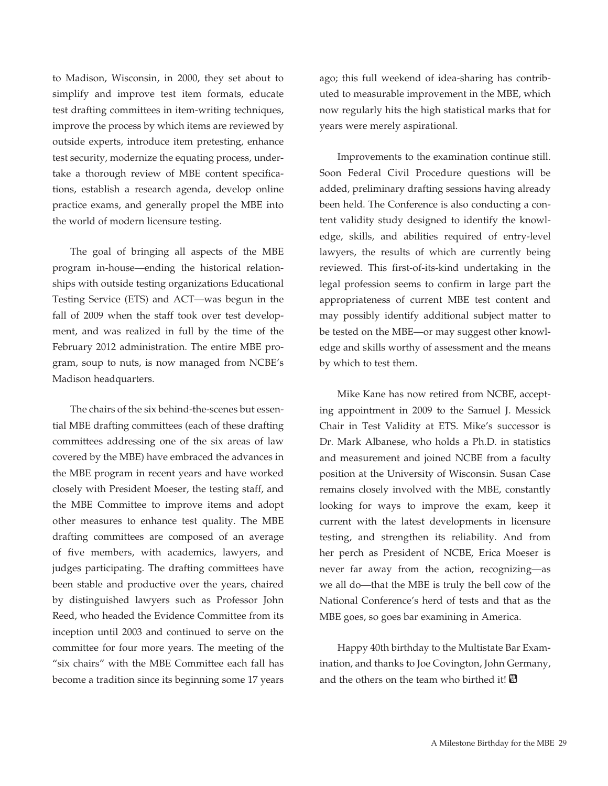to Madison, Wisconsin, in 2000, they set about to simplify and improve test item formats, educate test drafting committees in item-writing techniques, improve the process by which items are reviewed by outside experts, introduce item pretesting, enhance test security, modernize the equating process, undertake a thorough review of MBE content specifications, establish a research agenda, develop online practice exams, and generally propel the MBE into the world of modern licensure testing.

The goal of bringing all aspects of the MBE program in-house—ending the historical relationships with outside testing organizations Educational Testing Service (ETS) and ACT—was begun in the fall of 2009 when the staff took over test development, and was realized in full by the time of the February 2012 administration. The entire MBE program, soup to nuts, is now managed from NCBE's Madison headquarters.

The chairs of the six behind-the-scenes but essential MBE drafting committees (each of these drafting committees addressing one of the six areas of law covered by the MBE) have embraced the advances in the MBE program in recent years and have worked closely with President Moeser, the testing staff, and the MBE Committee to improve items and adopt other measures to enhance test quality. The MBE drafting committees are composed of an average of five members, with academics, lawyers, and judges participating. The drafting committees have been stable and productive over the years, chaired by distinguished lawyers such as Professor John Reed, who headed the Evidence Committee from its inception until 2003 and continued to serve on the committee for four more years. The meeting of the "six chairs" with the MBE Committee each fall has become a tradition since its beginning some 17 years

ago; this full weekend of idea-sharing has contributed to measurable improvement in the MBE, which now regularly hits the high statistical marks that for years were merely aspirational.

Improvements to the examination continue still. Soon Federal Civil Procedure questions will be added, preliminary drafting sessions having already been held. The Conference is also conducting a content validity study designed to identify the knowledge, skills, and abilities required of entry-level lawyers, the results of which are currently being reviewed. This first-of-its-kind undertaking in the legal profession seems to confirm in large part the appropriateness of current MBE test content and may possibly identify additional subject matter to be tested on the MBE—or may suggest other knowledge and skills worthy of assessment and the means by which to test them.

Mike Kane has now retired from NCBE, accepting appointment in 2009 to the Samuel J. Messick Chair in Test Validity at ETS. Mike's successor is Dr. Mark Albanese, who holds a Ph.D. in statistics and measurement and joined NCBE from a faculty position at the University of Wisconsin. Susan Case remains closely involved with the MBE, constantly looking for ways to improve the exam, keep it current with the latest developments in licensure testing, and strengthen its reliability. And from her perch as President of NCBE, Erica Moeser is never far away from the action, recognizing—as we all do—that the MBE is truly the bell cow of the National Conference's herd of tests and that as the MBE goes, so goes bar examining in America.

Happy 40th birthday to the Multistate Bar Examination, and thanks to Joe Covington, John Germany, and the others on the team who birthed it!